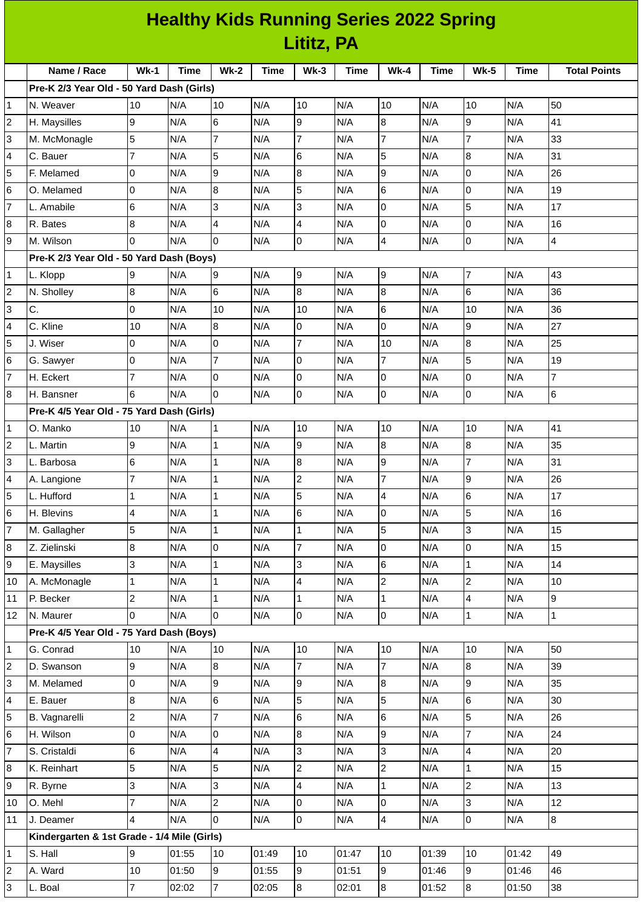| <b>Healthy Kids Running Series 2022 Spring</b> |                                             |                           |             |                                   |            |                         |             |                     |             |                                |             |                     |
|------------------------------------------------|---------------------------------------------|---------------------------|-------------|-----------------------------------|------------|-------------------------|-------------|---------------------|-------------|--------------------------------|-------------|---------------------|
|                                                | Lititz, PA                                  |                           |             |                                   |            |                         |             |                     |             |                                |             |                     |
|                                                | Name / Race                                 | $Wk-1$                    | <b>Time</b> | <b>Wk-2</b>                       | Time       | $Wk-3$                  | <b>Time</b> | <b>Wk-4</b>         | <b>Time</b> | <b>Wk-5</b>                    | <b>Time</b> | <b>Total Points</b> |
|                                                | Pre-K 2/3 Year Old - 50 Yard Dash (Girls)   |                           |             |                                   |            |                         |             |                     |             |                                |             |                     |
| 1                                              | N. Weaver                                   | 10                        | N/A         | 10                                | N/A        | 10                      | N/A         | 10                  | N/A         | 10                             | N/A         | 50                  |
| $\overline{c}$                                 | H. Maysilles                                | 9                         | N/A         | $6\overline{6}$                   | N/A        | 9                       | N/A         | 8                   | N/A         | 9                              | N/A         | 41                  |
| 3                                              | M. McMonagle                                | 5                         | N/A         | $\overline{7}$                    | N/A        | $\overline{7}$          | N/A         | $\overline{7}$      | N/A         | 7                              | N/A         | 33                  |
| 4                                              | C. Bauer                                    | $\overline{7}$            | N/A         | 5                                 | N/A        | 6                       | N/A         | 5                   | N/A         | 8                              | N/A         | 31                  |
| 5                                              | F. Melamed                                  | 0                         | N/A         | 9                                 | N/A        | 8                       | N/A         | 9                   | N/A         | $\mathsf{O}$                   | N/A         | 26                  |
| 6                                              | O. Melamed                                  | 0                         | N/A         | 8                                 | N/A        | 5                       | N/A         | 6                   | N/A         | 0                              | N/A         | 19                  |
| $\overline{7}$                                 | L. Amabile                                  | 6                         | N/A         | 3                                 | N/A        | 3                       | N/A         | 0                   | N/A         | $\overline{5}$                 | N/A         | 17                  |
| 8                                              | R. Bates                                    | 8                         | N/A         | $\overline{4}$                    | N/A        | $\overline{4}$          | N/A         | 0                   | N/A         | 0                              | N/A         | 16                  |
| 9                                              | M. Wilson                                   | 0                         | N/A         | l0                                | N/A        | 0                       | N/A         | 4                   | N/A         | 0                              | N/A         | 4                   |
|                                                | Pre-K 2/3 Year Old - 50 Yard Dash (Boys)    |                           |             |                                   |            |                         |             |                     |             |                                |             |                     |
| 1                                              | L. Klopp                                    | 9                         | N/A         | 9                                 | N/A        | 9                       | N/A         | 9                   | N/A         | $\overline{7}$                 | N/A         | 43                  |
| $\overline{c}$                                 | N. Sholley                                  | $\, 8$                    | N/A         | 6                                 | N/A        | 8                       | N/A         | $\, 8$              | N/A         | 6                              | N/A         | 36                  |
| 3                                              | C.                                          | $\overline{0}$            | N/A         | 10                                | N/A        | 10                      | N/A         | $6\phantom{a}$      | N/A         | 10                             | N/A         | 36                  |
| 4                                              | C. Kline                                    | 10                        | N/A         | 8                                 | N/A        | $\Omega$                | N/A         | 0                   | N/A         | 9                              | N/A         | 27                  |
| 5                                              | J. Wiser                                    | 0                         | N/A         | 0                                 | N/A        | $\overline{7}$          | N/A         | 10                  | N/A         | 8                              | N/A         | 25                  |
| 6                                              | G. Sawyer                                   | 0                         | N/A         | $\overline{7}$                    | N/A        | $\overline{0}$          | N/A         | $\overline{7}$      | N/A         | 5                              | N/A         | 19                  |
| $\overline{7}$                                 | H. Eckert                                   | $\overline{7}$            | N/A         | $\overline{0}$                    | N/A        | 0                       | N/A         | 0                   | N/A         | 0                              | N/A         | $\overline{7}$      |
| 8                                              | H. Bansner                                  | 6                         | N/A         | $\overline{0}$                    | N/A        | 0                       | N/A         | 0                   | N/A         | 0                              | N/A         | $6\phantom{a}$      |
|                                                | Pre-K 4/5 Year Old - 75 Yard Dash (Girls)   |                           |             |                                   |            |                         |             |                     |             |                                |             |                     |
| 1                                              | O. Manko                                    | 10                        | N/A         | $\mathbf{1}$                      | N/A        | 10                      | N/A         | 10                  | N/A         | 10                             | N/A         | 41                  |
| 2                                              | L. Martin                                   | 9                         | N/A         | $\overline{1}$                    | N/A        | 9                       | N/A         | $\overline{8}$      | N/A         | $\overline{8}$                 | N/A         | 35                  |
| 3                                              | L. Barbosa                                  | 6                         | N/A         | 1                                 | N/A        | 8                       | N/A         | 9                   | N/A         | 7                              | N/A         | 31                  |
| 4                                              | A. Langione                                 | $\overline{7}$            | N/A         | 1                                 | N/A        | 2                       | N/A         | 7                   | N/A         | 9                              | N/A         | 26                  |
| 5                                              | L. Hufford                                  | $\mathbf 1$               | N/A         | $\vert$ 1                         | N/A        | 5                       | N/A         | $\overline{4}$      | N/A         | 6                              | N/A         | 17                  |
| 6                                              | H. Blevins                                  | 4                         | N/A         | $\mathbf 1$                       | N/A        | 6                       | N/A         | 0                   | N/A         | 5                              | N/A         | 16                  |
| 7                                              | M. Gallagher                                | 5                         | N/A         | $\mathbf{1}$                      | N/A        | $\mathbf{1}$            | N/A         | 5                   | N/A         | 3                              | N/A         | 15                  |
| 8                                              | Z. Zielinski                                | 8                         | N/A         | $\overline{0}$                    | N/A        | $\overline{7}$          | N/A         | $\pmb{0}$           | N/A         | 0                              | N/A         | 15                  |
| 9                                              | E. Maysilles                                | 3                         | N/A         | $\mathbf{1}$                      | N/A        | 3                       | N/A         | 6                   | N/A         | $\mathbf{1}$                   | N/A         | 14                  |
| 10                                             | A. McMonagle                                | $\mathbf{1}$              | N/A         | $\mathbf{1}$                      | N/A        | $\overline{\mathbf{4}}$ | N/A         | $\overline{c}$      | N/A         | $\overline{2}$                 | N/A         | 10                  |
| 11                                             | P. Becker                                   | $\overline{c}$            | N/A         | $\mathbf{1}$                      | N/A        | $\mathbf{1}$            | N/A         | $\mathbf{1}$        | N/A         | 4                              | N/A         | 9                   |
| 12                                             | N. Maurer                                   | 0                         | N/A         | 0                                 | N/A        | $\overline{0}$          | N/A         | 0                   | N/A         | $\mathbf{1}$                   | N/A         | $\mathbf 1$         |
|                                                | Pre-K 4/5 Year Old - 75 Yard Dash (Boys)    |                           |             |                                   |            |                         |             |                     |             |                                |             |                     |
| 1                                              | G. Conrad                                   | 10                        | N/A         | 10                                | N/A        | 10                      | N/A         | 10                  | N/A         | 10                             | N/A         | 50                  |
| $\overline{c}$                                 | D. Swanson                                  | 9                         | N/A         | $\overline{8}$                    | N/A        | $\overline{7}$          | N/A         | $\overline{7}$      | N/A         | $\overline{8}$                 | N/A         | 39                  |
| 3                                              | M. Melamed                                  | $\mathsf 0$               | N/A         | 9                                 | N/A        | 9                       | N/A         | $\, 8$              | N/A         | 9                              | N/A         | 35                  |
| 4                                              | E. Bauer                                    | $\bf 8$<br>$\overline{c}$ | N/A         | $6\phantom{.}6$<br>$\overline{7}$ | N/A        | 5<br>$6\phantom{.}$     | N/A         | 5<br>6              | N/A         | 6<br>5                         | N/A         | 30<br>26            |
| 5                                              | B. Vagnarelli                               |                           | N/A<br>N/A  | $\overline{0}$                    | N/A<br>N/A | 8                       | N/A         |                     | N/A<br>N/A  | 7                              | N/A<br>N/A  | 24                  |
| 6<br>$\overline{7}$                            | H. Wilson                                   | 0                         |             |                                   |            |                         | N/A         | 9                   |             |                                |             |                     |
|                                                | S. Cristaldi                                | 6<br>5                    | N/A<br>N/A  | $\overline{a}$<br>5               | N/A        | 3<br>$\overline{c}$     | N/A<br>N/A  | 3<br>$\overline{c}$ | N/A         | 4                              | N/A<br>N/A  | 20<br>15            |
| 8<br>9                                         | K. Reinhart                                 | 3                         | N/A         | 3                                 | N/A<br>N/A | $\overline{4}$          | N/A         | $\mathbf 1$         | N/A<br>N/A  | $\mathbf{1}$<br>$\overline{c}$ | N/A         | 13                  |
|                                                | R. Byrne                                    | $\overline{7}$            |             |                                   |            | $\overline{0}$          |             |                     |             | 3                              |             |                     |
| 10<br>11                                       | O. Mehl<br>J. Deamer                        | 4                         | N/A<br>N/A  | $\overline{c}$<br>l0              | N/A<br>N/A | 0                       | N/A<br>N/A  | 0<br>4              | N/A<br>N/A  | 0                              | N/A<br>N/A  | 12<br>8             |
|                                                | Kindergarten & 1st Grade - 1/4 Mile (Girls) |                           |             |                                   |            |                         |             |                     |             |                                |             |                     |
| $\mathbf 1$                                    | S. Hall                                     | 9                         | 01:55       | 10                                | 01:49      | 10                      | 01:47       | 10                  | 01:39       | 10                             | 01:42       | 49                  |
| $\overline{c}$                                 | A. Ward                                     | 10                        | 01:50       | 9                                 | 01:55      | 9                       | 01:51       | 9                   | 01:46       | 9                              | 01:46       | 46                  |
| 3                                              | L. Boal                                     | $\overline{7}$            | 02:02       | 7                                 | 02:05      | 8                       | 02:01       | 8                   | 01:52       | 8                              | 01:50       | 38                  |
|                                                |                                             |                           |             |                                   |            |                         |             |                     |             |                                |             |                     |